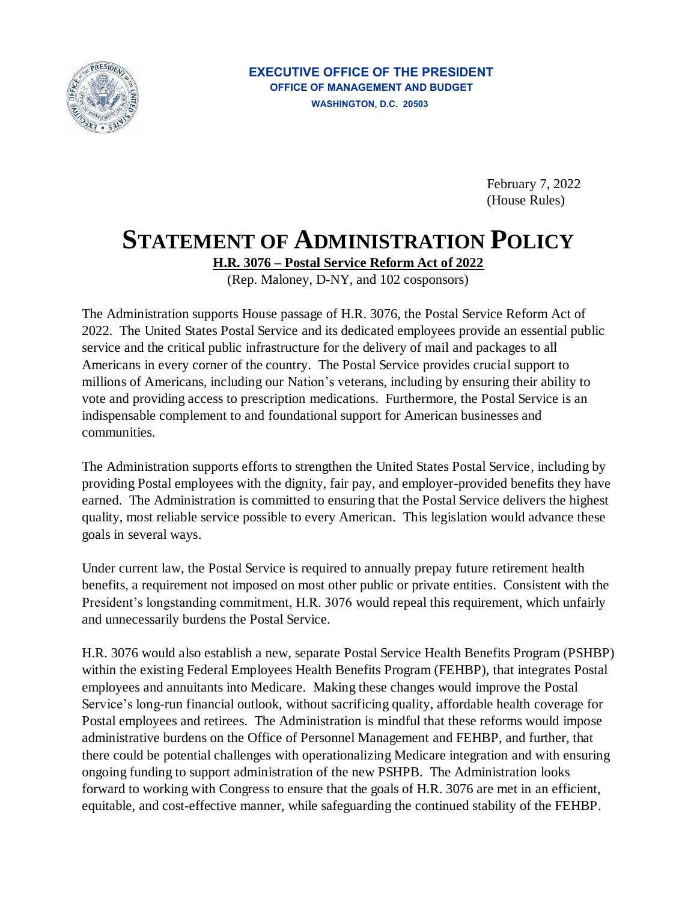

February 7, 2022 (House Rules)

## **STATEMENT OF ADMINISTRATION POLICY**

**H.R. 3076 – Postal Service Reform Act of 2022** 

(Rep. Maloney, D-NY, and 102 cosponsors)

communities. The Administration supports House passage of H.R. 3076, the Postal Service Reform Act of 2022. The United States Postal Service and its dedicated employees provide an essential public service and the critical public infrastructure for the delivery of mail and packages to all Americans in every corner of the country. The Postal Service provides crucial support to millions of Americans, including our Nation's veterans, including by ensuring their ability to vote and providing access to prescription medications. Furthermore, the Postal Service is an indispensable complement to and foundational support for American businesses and

 quality, most reliable service possible to every American. This legislation would advance these The Administration supports efforts to strengthen the United States Postal Service, including by providing Postal employees with the dignity, fair pay, and employer-provided benefits they have earned. The Administration is committed to ensuring that the Postal Service delivers the highest goals in several ways.

Under current law, the Postal Service is required to annually prepay future retirement health benefits, a requirement not imposed on most other public or private entities. Consistent with the President's longstanding commitment, H.R. 3076 would repeal this requirement, which unfairly and unnecessarily burdens the Postal Service.

 employees and annuitants into Medicare. Making these changes would improve the Postal Postal employees and retirees. The Administration is mindful that these reforms would impose ongoing funding to support administration of the new PSHPB. The Administration looks H.R. 3076 would also establish a new, separate Postal Service Health Benefits Program (PSHBP) within the existing Federal Employees Health Benefits Program (FEHBP), that integrates Postal Service's long-run financial outlook, without sacrificing quality, affordable health coverage for administrative burdens on the Office of Personnel Management and FEHBP, and further, that there could be potential challenges with operationalizing Medicare integration and with ensuring forward to working with Congress to ensure that the goals of H.R. 3076 are met in an efficient, equitable, and cost-effective manner, while safeguarding the continued stability of the FEHBP.